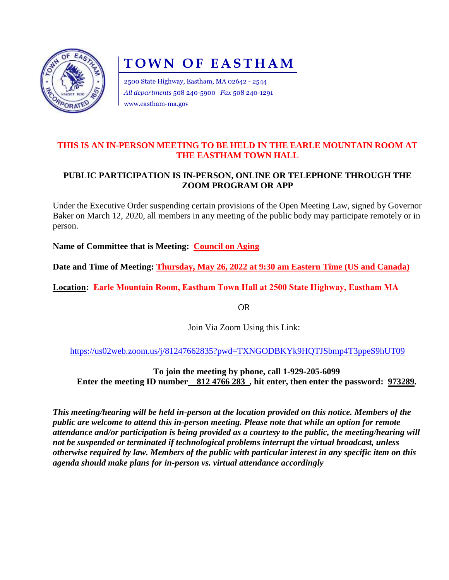

# **TOWN OF EASTHAM**

2500 State Highway, Eastham, MA 02642 - 2544 *All departments* 508 240-5900 *Fax* 508 240-1291 www.eastham-ma.gov

### **THIS IS AN IN-PERSON MEETING TO BE HELD IN THE EARLE MOUNTAIN ROOM AT THE EASTHAM TOWN HALL**

## **PUBLIC PARTICIPATION IS IN-PERSON, ONLINE OR TELEPHONE THROUGH THE ZOOM PROGRAM OR APP**

Under the Executive Order suspending certain provisions of the Open Meeting Law, signed by Governor Baker on March 12, 2020, all members in any meeting of the public body may participate remotely or in person.

**Name of Committee that is Meeting: Council on Aging**

**Date and Time of Meeting: Thursday, May 26, 2022 at 9:30 am Eastern Time (US and Canada)**

**Location: Earle Mountain Room, Eastham Town Hall at 2500 State Highway, Eastham MA**

OR

Join Via Zoom Using this Link:

<https://us02web.zoom.us/j/81247662835?pwd=TXNGODBKYk9HQTJSbmp4T3ppeS9hUT09>

**To join the meeting by phone, call 1-929-205-6099 Enter the meeting ID number** 812 4766 283, hit enter, then enter the password: 973289.

*This meeting/hearing will be held in-person at the location provided on this notice. Members of the public are welcome to attend this in-person meeting. Please note that while an option for remote attendance and/or participation is being provided as a courtesy to the public, the meeting/hearing will not be suspended or terminated if technological problems interrupt the virtual broadcast, unless otherwise required by law. Members of the public with particular interest in any specific item on this agenda should make plans for in-person vs. virtual attendance accordingly*